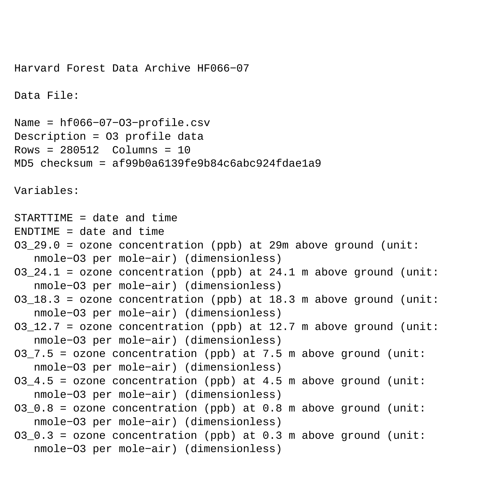Harvard Forest Data Archive HF066−07 Data File: Name = hf066−07−O3−profile.csv Description = O3 profile data Rows = 280512 Columns = 10 MD5 checksum = af99b0a6139fe9b84c6abc924fdae1a9 Variables: STARTTIME = date and time ENDTIME = date and time O3\_29.0 = ozone concentration (ppb) at 29m above ground (unit: nmole−O3 per mole−air) (dimensionless) 03 24.1 = ozone concentration (ppb) at 24.1 m above ground (unit: nmole−O3 per mole−air) (dimensionless) 03 18.3 = ozone concentration (ppb) at 18.3 m above ground (unit: nmole−O3 per mole−air) (dimensionless)  $03\_12.7$  = ozone concentration (ppb) at 12.7 m above ground (unit: nmole−O3 per mole−air) (dimensionless) O3 7.5 = ozone concentration (ppb) at 7.5 m above ground (unit: nmole−O3 per mole−air) (dimensionless)  $03_4.5$  = ozone concentration (ppb) at 4.5 m above ground (unit: nmole−O3 per mole−air) (dimensionless)  $03_0.8$  = ozone concentration (ppb) at 0.8 m above ground (unit: nmole−O3 per mole−air) (dimensionless) O3  $0.3$  = ozone concentration (ppb) at 0.3 m above ground (unit: nmole−O3 per mole−air) (dimensionless)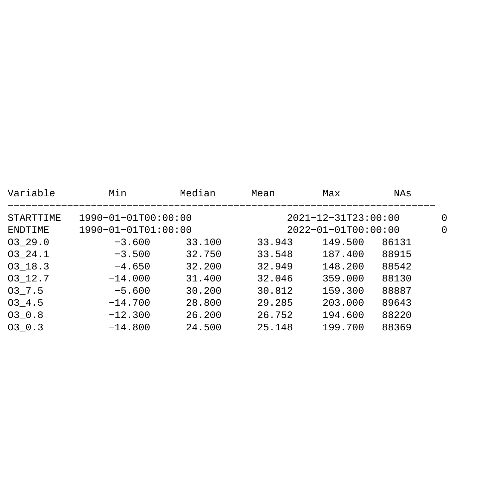| Min                       | Median | Mean                      | Max     | NAs   |          |
|---------------------------|--------|---------------------------|---------|-------|----------|
| $1990 - 01 - 01T00:00:00$ |        | $2021 - 12 - 31T23:00:00$ |         |       | $\Omega$ |
| $1990 - 01 - 01T01:00:00$ |        | $2022 - 01 - 01T00:00:00$ |         |       | $\Omega$ |
| $-3.600$                  | 33.100 | 33.943                    | 149.500 | 86131 |          |
| $-3.500$                  | 32.750 | 33.548                    | 187.400 | 88915 |          |
| $-4.650$                  | 32.200 | 32.949                    | 148.200 | 88542 |          |
| $-14.000$                 | 31.400 | 32.046                    | 359.000 | 88130 |          |
| $-5.600$                  | 30.200 | 30.812                    | 159.300 | 88887 |          |
| $-14.700$                 | 28.800 | 29.285                    | 203.000 | 89643 |          |
| $-12.300$                 | 26.200 | 26.752                    | 194.600 | 88220 |          |
| $-14.800$                 | 24.500 | 25.148                    | 199.700 | 88369 |          |
|                           |        |                           |         |       |          |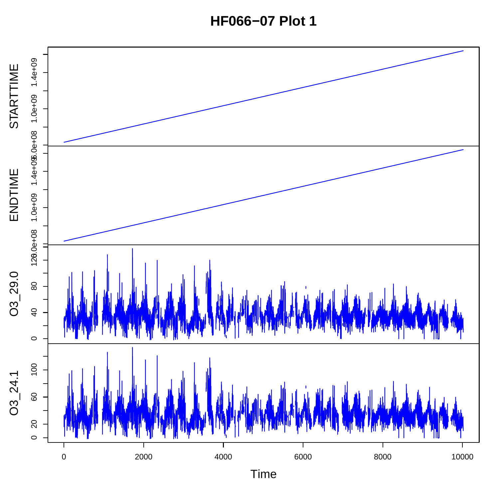**HF066−07 Plot 1**

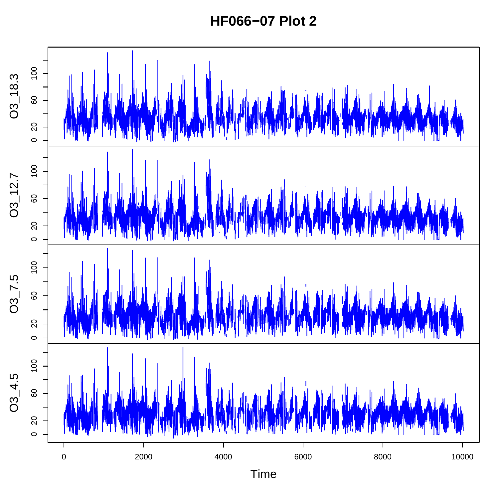**HF066−07 Plot 2**